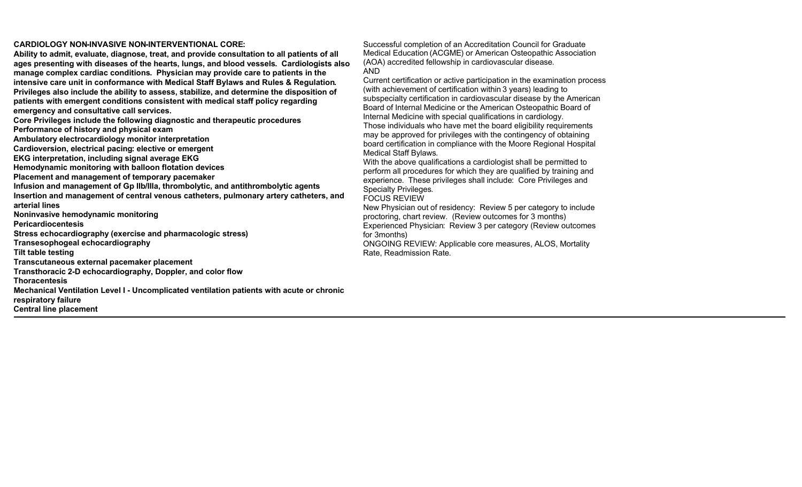## **CARDIOLOGY NON-INVASIVE NON-INTERVENTIONAL CORE:**

**Ability to admit, evaluate, diagnose, treat, and provide consultation to all patients of all ages presenting with diseases of the hearts, lungs, and blood vessels. Cardiologists also manage complex cardiac conditions. Physician may provide care to patients in the intensive care unit in conformance with Medical Staff Bylaws and Rules & Regulation. Privileges also include the ability to assess, stabilize, and determine the disposition of patients with emergent conditions consistent with medical staff policy regarding emergency and consultative call services.**

**Core Privileges include the following diagnostic and therapeutic procedures**

**Performance of history and physical exam** 

**Ambulatory electrocardiology monitor interpretation** 

**Cardioversion, electrical pacing: elective or emergent** 

**EKG interpretation, including signal average EKG**

**Hemodynamic monitoring with balloon flotation devices** 

**Placement and management of temporary pacemaker**

**Infusion and management of Gp IIb/IIIa, thrombolytic, and antithrombolytic agents Insertion and management of central venous catheters, pulmonary artery catheters, and** 

**arterial lines**

**Noninvasive hemodynamic monitoring**

**Pericardiocentesis**

**Stress echocardiography (exercise and pharmacologic stress)** 

**Transesophogeal echocardiography**

**Tilt table testing**

**Transcutaneous external pacemaker placement** 

**Transthoracic 2-D echocardiography, Doppler, and color flow** 

**Thoracentesis**

**Mechanical Ventilation Level I - Uncomplicated ventilation patients with acute or chronic respiratory failure** 

**Central line placement**

Successful completion of an Accreditation Council for Graduate Medical Education (ACGME) or American Osteopathic Association (AOA) accredited fellowship in cardiovascular disease. AND

Current certification or active participation in the examination process (with achievement of certification within 3 years) leading to subspecialty certification in cardiovascular disease by the American Board of Internal Medicine or the American Osteopathic Board of Internal Medicine with special qualifications in cardiology. Those individuals who have met the board eligibility requirements

may be approved for privileges with the contingency of obtaining board certification in compliance with the Moore Regional Hospital Medical Staff Bylaws.

With the above qualifications a cardiologist shall be permitted to perform all procedures for which they are qualified by training and experience. These privileges shall include: Core Privileges and Specialty Privileges.

FOCUS REVIEW

New Physician out of residency: Review 5 per category to include proctoring, chart review. (Review outcomes for 3 months) Experienced Physician: Review 3 per category (Review outcomes for 3months)

ONGOING REVIEW: Applicable core measures, ALOS, Mortality Rate, Readmission Rate.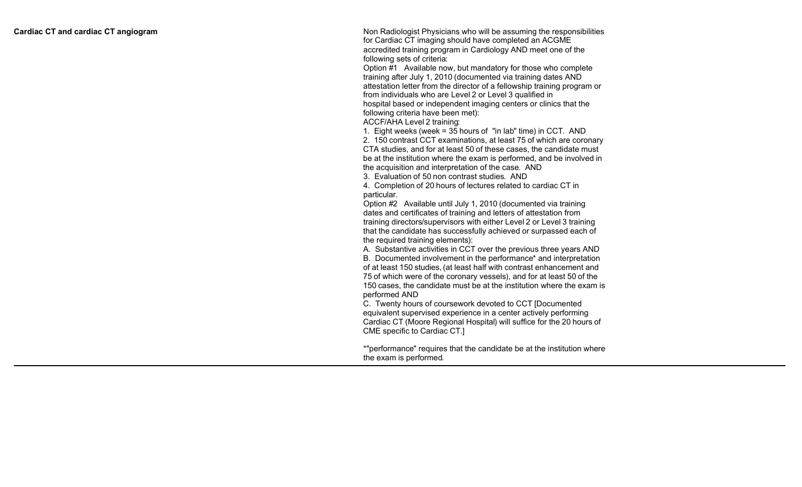Non Radiologist Physicians who will be assumi n g the responsibilities for Car diac CT imaging should have completed an ACGME accre dited training program in Cardiology AND meet one of the following sets of criteria:

Option #1 Available now, but mandatory for those who complete training after July 1, 2010 ( documented via training dates AND a ttestati o n letter from the director of a fellowship training program or from i ndividuals who are Level 2 o r Level 3 qualified in hospital based or independent im aging centers or clinics that the following criteria have been me t):

ACC F/AHA Level 2 trainin g :

1. Eight weeks ( wee k = 3 5 hours of " i n la b " tim e ) in CC T . AND

2. 150 c o n t r ast CCT ex a minations, at least 7 5 o f which are coronary CTA studies, and for at least 50 of these cases, the candidate must be at the institution where the exam is performed, and be involved in the acquisition and interpretation of the case. AND

3. Evaluation of 5 0 non contrast studie s . AND

4. Completion of 2 0 hours of lec t ures related to c a r diac CT in par ticula r .

Option #2 Available until July 1, 2010 (documented via training dates and certificates of training and letters of attestation from training directors/supervisors with either Level 2 or Level 3 training th a t the candidate has successfully achieved or surpassed each of the r equired training element s):

A. Substantive activities in CCT over the previous three years AND B. Documented involvement in the performance\* and interpretation o f a t le ast 150 studies , ( a t leas t half with contrast e nhancement and 7 5 o f which were of the coronary vessel s), and for at least 5 0 o f the 150 cases, the candidate must be at the institution where the exam is performed AND

C. Twenty hours of coursework devoted to CCT [Documented equivalent supervised experience in a cente r activel y performing Cardiac CT (M oore Regional Hospita l ) will suffice for t h e 2 0 hours of C M E specific to Cardiac C T.]

\*"performance" requires that the candidate be at the institution where the e xam is performe d .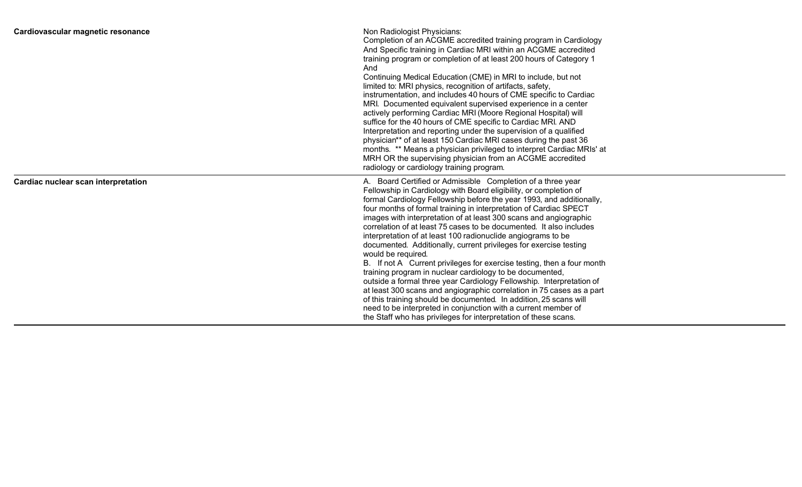| Cardiovascular magnetic resonance   | Non Radiologist Physicians:<br>Completion of an ACGME accredited training program in Cardiology<br>And Specific training in Cardiac MRI within an ACGME accredited<br>training program or completion of at least 200 hours of Category 1<br>And<br>Continuing Medical Education (CME) in MRI to include, but not<br>limited to: MRI physics, recognition of artifacts, safety,<br>instrumentation, and includes 40 hours of CME specific to Cardiac<br>MRI. Documented equivalent supervised experience in a center<br>actively performing Cardiac MRI (Moore Regional Hospital) will<br>suffice for the 40 hours of CME specific to Cardiac MRI. AND<br>Interpretation and reporting under the supervision of a qualified<br>physician** of at least 150 Cardiac MRI cases during the past 36<br>months. ** Means a physician privileged to interpret Cardiac MRIs' at<br>MRH OR the supervising physician from an ACGME accredited<br>radiology or cardiology training program.                                                                                                     |
|-------------------------------------|---------------------------------------------------------------------------------------------------------------------------------------------------------------------------------------------------------------------------------------------------------------------------------------------------------------------------------------------------------------------------------------------------------------------------------------------------------------------------------------------------------------------------------------------------------------------------------------------------------------------------------------------------------------------------------------------------------------------------------------------------------------------------------------------------------------------------------------------------------------------------------------------------------------------------------------------------------------------------------------------------------------------------------------------------------------------------------------|
| Cardiac nuclear scan interpretation | A. Board Certified or Admissible Completion of a three year<br>Fellowship in Cardiology with Board eligibility, or completion of<br>formal Cardiology Fellowship before the year 1993, and additionally,<br>four months of formal training in interpretation of Cardiac SPECT<br>images with interpretation of at least 300 scans and angiographic<br>correlation of at least 75 cases to be documented. It also includes<br>interpretation of at least 100 radionuclide angiograms to be<br>documented. Additionally, current privileges for exercise testing<br>would be required.<br>B. If not A Current privileges for exercise testing, then a four month<br>training program in nuclear cardiology to be documented,<br>outside a formal three year Cardiology Fellowship. Interpretation of<br>at least 300 scans and angiographic correlation in 75 cases as a part<br>of this training should be documented. In addition, 25 scans will<br>need to be interpreted in conjunction with a current member of<br>the Staff who has privileges for interpretation of these scans. |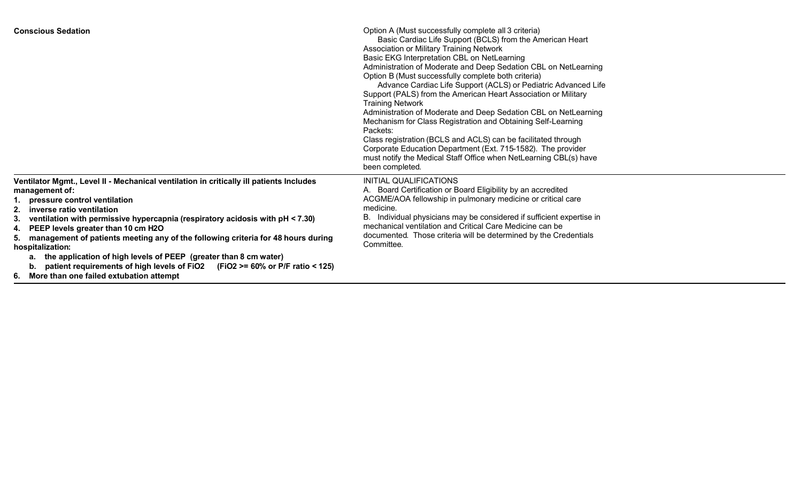| <b>Conscious Sedation</b>                                                                                                                                                                                                                                                                                                                                                                                                                                                                                                                                                                                                    | Option A (Must successfully complete all 3 criteria)<br>Basic Cardiac Life Support (BCLS) from the American Heart<br>Association or Military Training Network<br>Basic EKG Interpretation CBL on NetLearning<br>Administration of Moderate and Deep Sedation CBL on NetLearning<br>Option B (Must successfully complete both criteria)<br>Advance Cardiac Life Support (ACLS) or Pediatric Advanced Life<br>Support (PALS) from the American Heart Association or Military<br><b>Training Network</b><br>Administration of Moderate and Deep Sedation CBL on NetLearning<br>Mechanism for Class Registration and Obtaining Self-Learning<br>Packets:<br>Class registration (BCLS and ACLS) can be facilitated through<br>Corporate Education Department (Ext. 715-1582). The provider<br>must notify the Medical Staff Office when NetLearning CBL(s) have<br>been completed. |
|------------------------------------------------------------------------------------------------------------------------------------------------------------------------------------------------------------------------------------------------------------------------------------------------------------------------------------------------------------------------------------------------------------------------------------------------------------------------------------------------------------------------------------------------------------------------------------------------------------------------------|-------------------------------------------------------------------------------------------------------------------------------------------------------------------------------------------------------------------------------------------------------------------------------------------------------------------------------------------------------------------------------------------------------------------------------------------------------------------------------------------------------------------------------------------------------------------------------------------------------------------------------------------------------------------------------------------------------------------------------------------------------------------------------------------------------------------------------------------------------------------------------|
| Ventilator Mgmt., Level II - Mechanical ventilation in critically ill patients Includes<br>management of:<br>1. pressure control ventilation<br>2. inverse ratio ventilation<br>ventilation with permissive hypercapnia (respiratory acidosis with pH < 7.30)<br>З.<br>4. PEEP levels greater than 10 cm H2O<br>5. management of patients meeting any of the following criteria for 48 hours during<br>hospitalization:<br>a. the application of high levels of PEEP (greater than 8 cm water)<br>patient requirements of high levels of FiO2 (FiO2 >= 60% or P/F ratio < 125)<br>6. More than one failed extubation attempt | INITIAL QUALIFICATIONS<br>A. Board Certification or Board Eligibility by an accredited<br>ACGME/AOA fellowship in pulmonary medicine or critical care<br>medicine.<br>B. Individual physicians may be considered if sufficient expertise in<br>mechanical ventilation and Critical Care Medicine can be<br>documented. Those criteria will be determined by the Credentials<br>Committee.                                                                                                                                                                                                                                                                                                                                                                                                                                                                                     |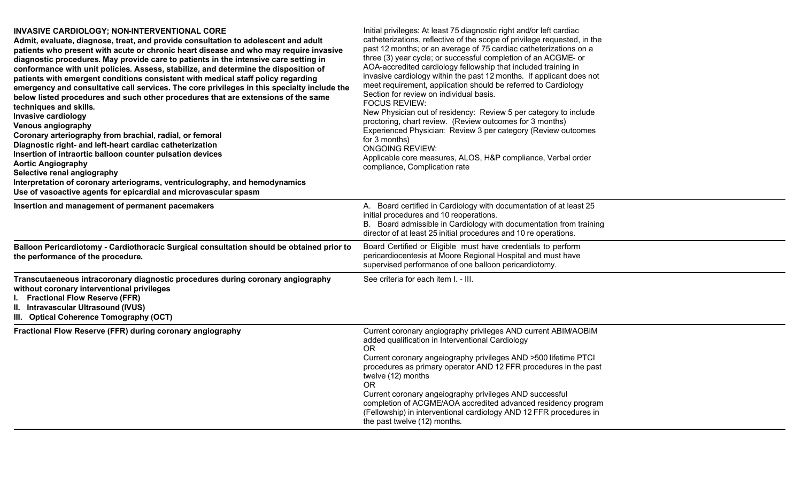| INVASIVE CARDIOLOGY; NON-INTERVENTIONAL CORE<br>Admit, evaluate, diagnose, treat, and provide consultation to adolescent and adult<br>patients who present with acute or chronic heart disease and who may require invasive<br>diagnostic procedures. May provide care to patients in the intensive care setting in<br>conformance with unit policies. Assess, stabilize, and determine the disposition of<br>patients with emergent conditions consistent with medical staff policy regarding<br>emergency and consultative call services. The core privileges in this specialty include the<br>below listed procedures and such other procedures that are extensions of the same<br>techniques and skills.<br><b>Invasive cardiology</b><br><b>Venous angiography</b><br>Coronary arteriography from brachial, radial, or femoral<br>Diagnostic right- and left-heart cardiac catheterization<br>Insertion of intraortic balloon counter pulsation devices<br><b>Aortic Angiography</b><br>Selective renal angiography<br>Interpretation of coronary arteriograms, ventriculography, and hemodynamics<br>Use of vasoactive agents for epicardial and microvascular spasm | Initial privileges: At least 75 diagnostic right and/or left cardiac<br>catheterizations, reflective of the scope of privilege requested, in the<br>past 12 months; or an average of 75 cardiac catheterizations on a<br>three (3) year cycle; or successful completion of an ACGME- or<br>AOA-accredited cardiology fellowship that included training in<br>invasive cardiology within the past 12 months. If applicant does not<br>meet requirement, application should be referred to Cardiology<br>Section for review on individual basis.<br><b>FOCUS REVIEW:</b><br>New Physician out of residency: Review 5 per category to include<br>proctoring, chart review. (Review outcomes for 3 months)<br>Experienced Physician: Review 3 per category (Review outcomes<br>for 3 months)<br><b>ONGOING REVIEW:</b><br>Applicable core measures, ALOS, H&P compliance, Verbal order<br>compliance, Complication rate |
|----------------------------------------------------------------------------------------------------------------------------------------------------------------------------------------------------------------------------------------------------------------------------------------------------------------------------------------------------------------------------------------------------------------------------------------------------------------------------------------------------------------------------------------------------------------------------------------------------------------------------------------------------------------------------------------------------------------------------------------------------------------------------------------------------------------------------------------------------------------------------------------------------------------------------------------------------------------------------------------------------------------------------------------------------------------------------------------------------------------------------------------------------------------------------|---------------------------------------------------------------------------------------------------------------------------------------------------------------------------------------------------------------------------------------------------------------------------------------------------------------------------------------------------------------------------------------------------------------------------------------------------------------------------------------------------------------------------------------------------------------------------------------------------------------------------------------------------------------------------------------------------------------------------------------------------------------------------------------------------------------------------------------------------------------------------------------------------------------------|
| Insertion and management of permanent pacemakers                                                                                                                                                                                                                                                                                                                                                                                                                                                                                                                                                                                                                                                                                                                                                                                                                                                                                                                                                                                                                                                                                                                           | A. Board certified in Cardiology with documentation of at least 25<br>initial procedures and 10 reoperations.<br>B. Board admissible in Cardiology with documentation from training<br>director of at least 25 initial procedures and 10 re operations.                                                                                                                                                                                                                                                                                                                                                                                                                                                                                                                                                                                                                                                             |
| Balloon Pericardiotomy - Cardiothoracic Surgical consultation should be obtained prior to<br>the performance of the procedure.                                                                                                                                                                                                                                                                                                                                                                                                                                                                                                                                                                                                                                                                                                                                                                                                                                                                                                                                                                                                                                             | Board Certified or Eligible must have credentials to perform<br>pericardiocentesis at Moore Regional Hospital and must have<br>supervised performance of one balloon pericardiotomy.                                                                                                                                                                                                                                                                                                                                                                                                                                                                                                                                                                                                                                                                                                                                |
| Transcutaeneous intracoronary diagnostic procedures during coronary angiography<br>without coronary interventional privileges<br><b>Fractional Flow Reserve (FFR)</b><br>II. Intravascular Ultrasound (IVUS)<br>III. Optical Coherence Tomography (OCT)                                                                                                                                                                                                                                                                                                                                                                                                                                                                                                                                                                                                                                                                                                                                                                                                                                                                                                                    | See criteria for each item I. - III.                                                                                                                                                                                                                                                                                                                                                                                                                                                                                                                                                                                                                                                                                                                                                                                                                                                                                |
| Fractional Flow Reserve (FFR) during coronary angiography                                                                                                                                                                                                                                                                                                                                                                                                                                                                                                                                                                                                                                                                                                                                                                                                                                                                                                                                                                                                                                                                                                                  | Current coronary angiography privileges AND current ABIM/AOBIM<br>added qualification in Interventional Cardiology<br><b>OR</b><br>Current coronary angelography privileges AND >500 lifetime PTCI<br>procedures as primary operator AND 12 FFR procedures in the past<br>twelve (12) months<br><b>OR</b><br>Current coronary angeiography privileges AND successful<br>completion of ACGME/AOA accredited advanced residency program<br>(Fellowship) in interventional cardiology AND 12 FFR procedures in<br>the past twelve (12) months.                                                                                                                                                                                                                                                                                                                                                                         |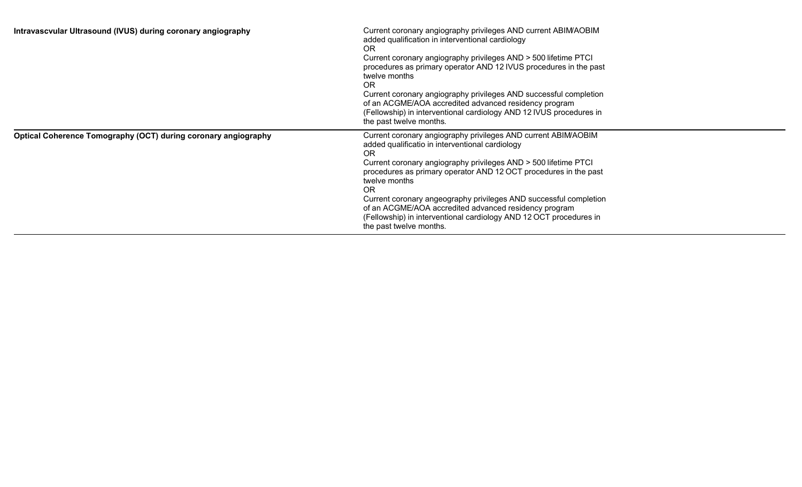| Intravascvular Ultrasound (IVUS) during coronary angiography   | Current coronary angiography privileges AND current ABIM/AOBIM<br>added qualification in interventional cardiology<br><b>OR</b><br>Current coronary angiography privileges AND > 500 lifetime PTCI<br>procedures as primary operator AND 12 IVUS procedures in the past<br>twelve months<br><b>OR</b><br>Current coronary angiography privileges AND successful completion<br>of an ACGME/AOA accredited advanced residency program<br>(Fellowship) in interventional cardiology AND 12 IVUS procedures in<br>the past twelve months. |
|----------------------------------------------------------------|---------------------------------------------------------------------------------------------------------------------------------------------------------------------------------------------------------------------------------------------------------------------------------------------------------------------------------------------------------------------------------------------------------------------------------------------------------------------------------------------------------------------------------------|
| Optical Coherence Tomography (OCT) during coronary angiography | Current coronary angiography privileges AND current ABIM/AOBIM<br>added qualificatio in interventional cardiology<br><b>OR</b><br>Current coronary angiography privileges AND > 500 lifetime PTCI<br>procedures as primary operator AND 12 OCT procedures in the past<br>twelve months<br><b>OR</b><br>Current coronary angeography privileges AND successful completion<br>of an ACGME/AOA accredited advanced residency program<br>(Fellowship) in interventional cardiology AND 12 OCT procedures in<br>the past twelve months.    |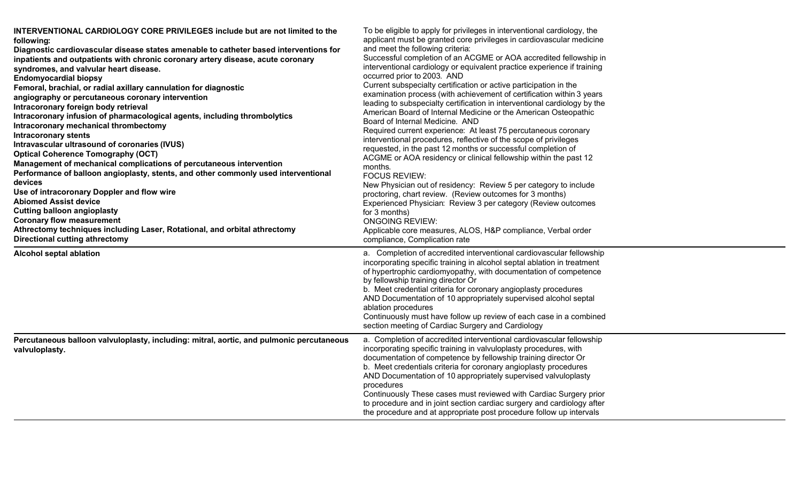| INTERVENTIONAL CARDIOLOGY CORE PRIVILEGES include but are not limited to the<br>following:<br>Diagnostic cardiovascular disease states amenable to catheter based interventions for<br>inpatients and outpatients with chronic coronary artery disease, acute coronary<br>syndromes, and valvular heart disease.<br><b>Endomyocardial biopsy</b><br>Femoral, brachial, or radial axillary cannulation for diagnostic<br>angiography or percutaneous coronary intervention<br>Intracoronary foreign body retrieval<br>Intracoronary infusion of pharmacological agents, including thrombolytics<br>Intracoronary mechanical thrombectomy<br><b>Intracoronary stents</b><br>Intravascular ultrasound of coronaries (IVUS)<br><b>Optical Coherence Tomography (OCT)</b><br>Management of mechanical complications of percutaneous intervention<br>Performance of balloon angioplasty, stents, and other commonly used interventional<br>devices<br>Use of intracoronary Doppler and flow wire<br><b>Abiomed Assist device</b><br><b>Cutting balloon angioplasty</b><br><b>Coronary flow measurement</b><br>Athrectomy techniques including Laser, Rotational, and orbital athrectomy<br><b>Directional cutting athrectomy</b> | To be eligible to apply for privileges in interventional cardiology, the<br>applicant must be granted core privileges in cardiovascular medicine<br>and meet the following criteria:<br>Successful completion of an ACGME or AOA accredited fellowship in<br>interventional cardiology or equivalent practice experience if training<br>occurred prior to 2003. AND<br>Current subspecialty certification or active participation in the<br>examination process (with achievement of certification within 3 years<br>leading to subspecialty certification in interventional cardiology by the<br>American Board of Internal Medicine or the American Osteopathic<br>Board of Internal Medicine. AND<br>Required current experience: At least 75 percutaneous coronary<br>interventional procedures, reflective of the scope of privileges<br>requested, in the past 12 months or successful completion of<br>ACGME or AOA residency or clinical fellowship within the past 12<br>months.<br><b>FOCUS REVIEW:</b><br>New Physician out of residency: Review 5 per category to include<br>proctoring, chart review. (Review outcomes for 3 months)<br>Experienced Physician: Review 3 per category (Review outcomes<br>for 3 months)<br><b>ONGOING REVIEW:</b><br>Applicable core measures, ALOS, H&P compliance, Verbal order<br>compliance, Complication rate |
|----------------------------------------------------------------------------------------------------------------------------------------------------------------------------------------------------------------------------------------------------------------------------------------------------------------------------------------------------------------------------------------------------------------------------------------------------------------------------------------------------------------------------------------------------------------------------------------------------------------------------------------------------------------------------------------------------------------------------------------------------------------------------------------------------------------------------------------------------------------------------------------------------------------------------------------------------------------------------------------------------------------------------------------------------------------------------------------------------------------------------------------------------------------------------------------------------------------------------|----------------------------------------------------------------------------------------------------------------------------------------------------------------------------------------------------------------------------------------------------------------------------------------------------------------------------------------------------------------------------------------------------------------------------------------------------------------------------------------------------------------------------------------------------------------------------------------------------------------------------------------------------------------------------------------------------------------------------------------------------------------------------------------------------------------------------------------------------------------------------------------------------------------------------------------------------------------------------------------------------------------------------------------------------------------------------------------------------------------------------------------------------------------------------------------------------------------------------------------------------------------------------------------------------------------------------------------------------------------|
| <b>Alcohol septal ablation</b>                                                                                                                                                                                                                                                                                                                                                                                                                                                                                                                                                                                                                                                                                                                                                                                                                                                                                                                                                                                                                                                                                                                                                                                             | a. Completion of accredited interventional cardiovascular fellowship<br>incorporating specific training in alcohol septal ablation in treatment<br>of hypertrophic cardiomyopathy, with documentation of competence<br>by fellowship training director Or<br>b. Meet credential criteria for coronary angioplasty procedures<br>AND Documentation of 10 appropriately supervised alcohol septal<br>ablation procedures<br>Continuously must have follow up review of each case in a combined<br>section meeting of Cardiac Surgery and Cardiology                                                                                                                                                                                                                                                                                                                                                                                                                                                                                                                                                                                                                                                                                                                                                                                                              |
| Percutaneous balloon valvuloplasty, including: mitral, aortic, and pulmonic percutaneous<br>valvuloplasty.                                                                                                                                                                                                                                                                                                                                                                                                                                                                                                                                                                                                                                                                                                                                                                                                                                                                                                                                                                                                                                                                                                                 | a. Completion of accredited interventional cardiovascular fellowship<br>incorporating specific training in valvuloplasty procedures, with<br>documentation of competence by fellowship training director Or<br>b. Meet credentials criteria for coronary angioplasty procedures<br>AND Documentation of 10 appropriately supervised valvuloplasty<br>procedures<br>Continuously These cases must reviewed with Cardiac Surgery prior<br>to procedure and in joint section cardiac surgery and cardiology after<br>the procedure and at appropriate post procedure follow up intervals                                                                                                                                                                                                                                                                                                                                                                                                                                                                                                                                                                                                                                                                                                                                                                          |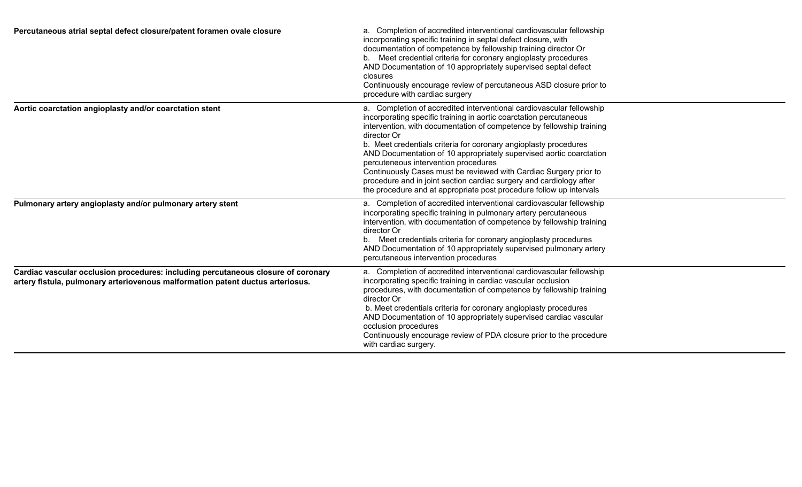| Percutaneous atrial septal defect closure/patent foramen ovale closure                                                                                              | a. Completion of accredited interventional cardiovascular fellowship<br>incorporating specific training in septal defect closure, with<br>documentation of competence by fellowship training director Or<br>b. Meet credential criteria for coronary angioplasty procedures<br>AND Documentation of 10 appropriately supervised septal defect<br>closures<br>Continuously encourage review of percutaneous ASD closure prior to<br>procedure with cardiac surgery                                                                                                                                                                        |
|---------------------------------------------------------------------------------------------------------------------------------------------------------------------|------------------------------------------------------------------------------------------------------------------------------------------------------------------------------------------------------------------------------------------------------------------------------------------------------------------------------------------------------------------------------------------------------------------------------------------------------------------------------------------------------------------------------------------------------------------------------------------------------------------------------------------|
| Aortic coarctation angioplasty and/or coarctation stent                                                                                                             | a. Completion of accredited interventional cardiovascular fellowship<br>incorporating specific training in aortic coarctation percutaneous<br>intervention, with documentation of competence by fellowship training<br>director Or<br>b. Meet credentials criteria for coronary angioplasty procedures<br>AND Documentation of 10 appropriately supervised aortic coarctation<br>percuteneous intervention procedures<br>Continuously Cases must be reviewed with Cardiac Surgery prior to<br>procedure and in joint section cardiac surgery and cardiology after<br>the procedure and at appropriate post procedure follow up intervals |
| Pulmonary artery angioplasty and/or pulmonary artery stent                                                                                                          | a. Completion of accredited interventional cardiovascular fellowship<br>incorporating specific training in pulmonary artery percutaneous<br>intervention, with documentation of competence by fellowship training<br>director Or<br>b. Meet credentials criteria for coronary angioplasty procedures<br>AND Documentation of 10 appropriately supervised pulmonary artery<br>percutaneous intervention procedures                                                                                                                                                                                                                        |
| Cardiac vascular occlusion procedures: including percutaneous closure of coronary<br>artery fistula, pulmonary arteriovenous malformation patent ductus arteriosus. | a. Completion of accredited interventional cardiovascular fellowship<br>incorporating specific training in cardiac vascular occlusion<br>procedures, with documentation of competence by fellowship training<br>director Or<br>b. Meet credentials criteria for coronary angioplasty procedures<br>AND Documentation of 10 appropriately supervised cardiac vascular<br>occlusion procedures<br>Continuously encourage review of PDA closure prior to the procedure<br>with cardiac surgery.                                                                                                                                             |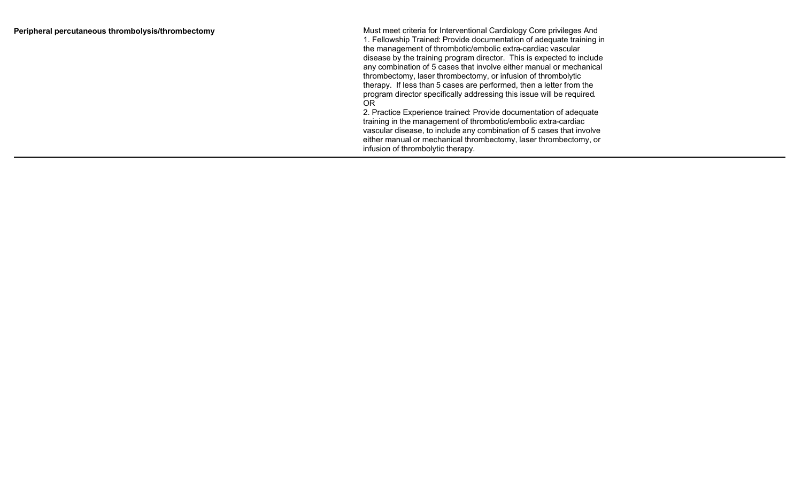|  |  |  | Peripheral percutaneous thrombolysis/thrombectomy |
|--|--|--|---------------------------------------------------|
|--|--|--|---------------------------------------------------|

Must meet criteria for Interventional Cardiology Core privileges And 1. Fellowship Trained: Provide documentation of adequate training in the management of thrombotic/embolic extra-cardiac vascular disease by the training program director. This is expected to include any combination of 5 cases that involve either manual or mechanical thr ombe ctomy , laser thrombe ctomy , o r infu sio n o f thrombolytic therapy. If less than 5 cases are performed, then a letter from the program director specifically addr essing this issue will b e require d. OR 2. Practice Experience trained: Provide documentation of adequate

training in the management of thrombotic/embolic extra-cardiac vascular disease, to include any combination of 5 cases that involve either manual or mechanical thrombectomy, laser thrombectomy, or infusion of thrombolytic therapy.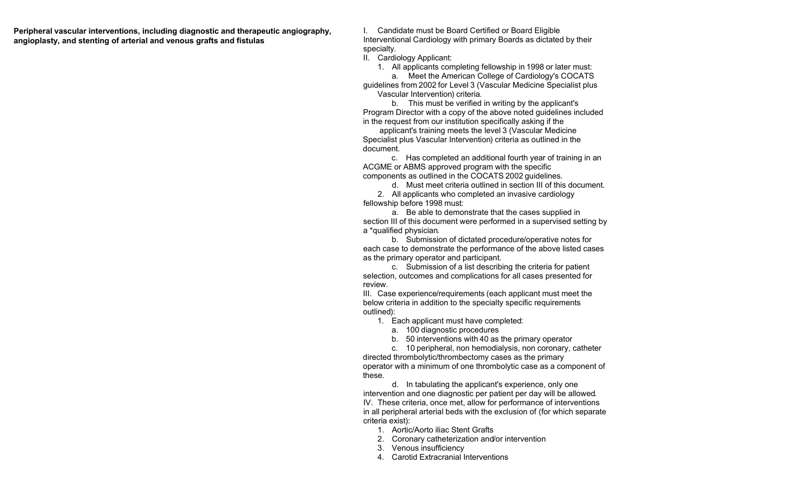**Peripheral vascular interventions, including diagnostic and therapeutic angiography, angioplasty, and stenting of arterial and venous grafts and fistulas**

I. Candidate must be Board Certified or Board Eligible Interventional Cardiology with primary Boards as dictated by their specialty.

II. Cardiology Applicant:

1. All applicants completing fellowship in 1998 or later must:

a. Meet the American College of Cardiology's COCATS guidelines from 2002 for Level 3 (Vascular Medicine Specialist plus Vascular Intervention) criteria.

b. This must be verified in writing by the applicant's Program Director with a copy of the above noted guidelines included in the request from our institution specifically asking if the

applicant's training meets the level 3 (Vascular Medicine Specialist plus Vascular Intervention) criteria as outlined in the document.

c. Has completed an additional fourth year of training in an ACGME or ABMS approved program with the specific components as outlined in the COCATS 2002 guidelines.

d. Must meet criteria outlined in section III of this document.

2. All applicants who completed an invasive cardiology fellowship before 1998 must:

a. Be able to demonstrate that the cases supplied in section III of this document were performed in a supervised setting by a \*qualified physician.

b. Submission of dictated procedure/operative notes for each case to demonstrate the performance of the above listed cases as the primary operator and participant.

c. Submission of a list describing the criteria for patient selection, outcomes and complications for all cases presented for review.

III. Case experience/requirements (each applicant must meet the below criteria in addition to the specialty specific requirements outlined):

1. Each applicant must have completed:

a. 100 diagnostic procedures

b. 50 interventions with 40 as the primary operator

c. 10 peripheral, non hemodialysis, non coronary, catheter directed thrombolytic/thrombectomy cases as the primary operator with a minimum of one thrombolytic case as a component of these.

d. In tabulating the applicant's experience, only one intervention and one diagnostic per patient per day will be allowed. IV. These criteria, once met, allow for performance of interventions in all peripheral arterial beds with the exclusion of (for which separate criteria exist):

1. Aortic/Aorto iliac Stent Grafts

2. Coronary catheterization and/or intervention

3. Venous insufficiency

4. Carotid Extracranial Interventions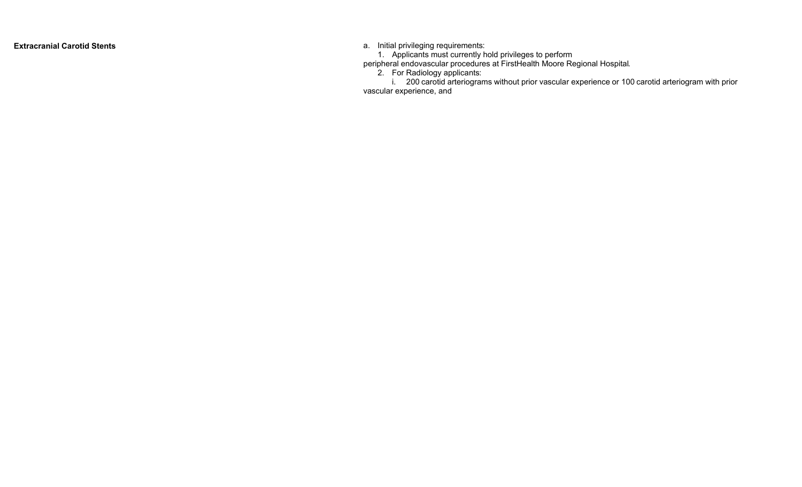**Extracranial Carotid Stents** a. Initial privileging requirement s :

1. Applicants must c urr ently hold privileges to perform

peripheral endovascular procedures at FirstHealth Moore Regional Hospit a l .

2. For Ra d iology applicant s :

i. 200 carotid arteriograms without prior vascular experience or 100 carotid arteriogram with prior vascular experience, and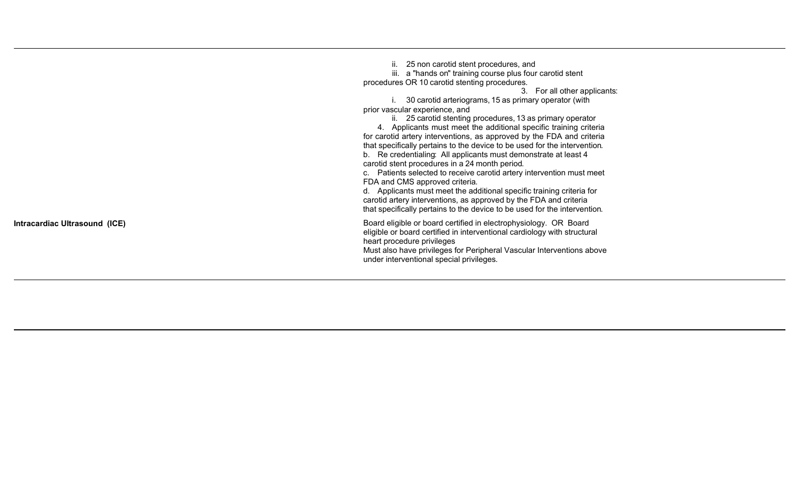|                               | 25 non carotid stent procedures, and<br>II.<br>iii. a "hands on" training course plus four carotid stent<br>procedures OR 10 carotid stenting procedures.<br>3. For all other applicants:<br>30 carotid arteriograms, 15 as primary operator (with<br>prior vascular experience, and<br>ii. 25 carotid stenting procedures, 13 as primary operator<br>4. Applicants must meet the additional specific training criteria<br>for carotid artery interventions, as approved by the FDA and criteria<br>that specifically pertains to the device to be used for the intervention.<br>b. Re credentialing: All applicants must demonstrate at least 4<br>carotid stent procedures in a 24 month period.<br>c. Patients selected to receive carotid artery intervention must meet<br>FDA and CMS approved criteria.<br>d. Applicants must meet the additional specific training criteria for<br>carotid artery interventions, as approved by the FDA and criteria<br>that specifically pertains to the device to be used for the intervention. |
|-------------------------------|------------------------------------------------------------------------------------------------------------------------------------------------------------------------------------------------------------------------------------------------------------------------------------------------------------------------------------------------------------------------------------------------------------------------------------------------------------------------------------------------------------------------------------------------------------------------------------------------------------------------------------------------------------------------------------------------------------------------------------------------------------------------------------------------------------------------------------------------------------------------------------------------------------------------------------------------------------------------------------------------------------------------------------------|
| Intracardiac Ultrasound (ICE) | Board eligible or board certified in electrophysiology. OR Board<br>eligible or board certified in interventional cardiology with structural<br>heart procedure privileges<br>Must also have privileges for Peripheral Vascular Interventions above<br>under interventional special privileges.                                                                                                                                                                                                                                                                                                                                                                                                                                                                                                                                                                                                                                                                                                                                          |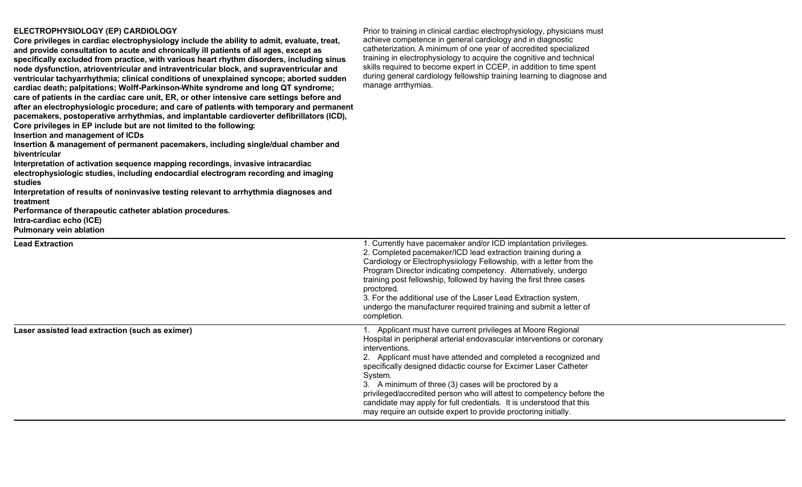## **ELECTROPHYSIOLOGY (EP) CARDIOLOGY**

| ELECTROPHYSIOLOGY (EP) CARDIOLOGY<br>Core privileges in cardiac electrophysiology include the ability to admit, evaluate, treat,<br>and provide consultation to acute and chronically ill patients of all ages, except as<br>specifically excluded from practice, with various heart rhythm disorders, including sinus<br>node dysfunction, atrioventricular and intraventricular block, and supraventricular and<br>ventricular tachyarrhythmia; clinical conditions of unexplained syncope; aborted sudden<br>cardiac death; palpitations; Wolff-Parkinson-White syndrome and long QT syndrome;<br>care of patients in the cardiac care unit, ER, or other intensive care settings before and<br>after an electrophysiologic procedure; and care of patients with temporary and permanent<br>pacemakers, postoperative arrhythmias, and implantable cardioverter defibrillators (ICD),<br>Core privileges in EP include but are not limited to the following:<br>Insertion and management of ICDs<br>Insertion & management of permanent pacemakers, including single/dual chamber and<br>biventricular<br>Interpretation of activation sequence mapping recordings, invasive intracardiac<br>electrophysiologic studies, including endocardial electrogram recording and imaging<br>studies<br>Interpretation of results of noninvasive testing relevant to arrhythmia diagnoses and<br>treatment<br>Performance of therapeutic catheter ablation procedures.<br>Intra-cardiac echo (ICE)<br><b>Pulmonary vein ablation</b> | Prior to training in clinical cardiac electrophysiology, physicians must<br>achieve competence in general cardiology and in diagnostic<br>catheterization. A minimum of one year of accredited specialized<br>training in electrophysiology to acquire the cognitive and technical<br>skills required to become expert in CCEP, in addition to time spent<br>during general cardiology fellowship training learning to diagnose and<br>manage arrthymias.                                                                                                                             |
|--------------------------------------------------------------------------------------------------------------------------------------------------------------------------------------------------------------------------------------------------------------------------------------------------------------------------------------------------------------------------------------------------------------------------------------------------------------------------------------------------------------------------------------------------------------------------------------------------------------------------------------------------------------------------------------------------------------------------------------------------------------------------------------------------------------------------------------------------------------------------------------------------------------------------------------------------------------------------------------------------------------------------------------------------------------------------------------------------------------------------------------------------------------------------------------------------------------------------------------------------------------------------------------------------------------------------------------------------------------------------------------------------------------------------------------------------------------------------------------------------------------------------------|---------------------------------------------------------------------------------------------------------------------------------------------------------------------------------------------------------------------------------------------------------------------------------------------------------------------------------------------------------------------------------------------------------------------------------------------------------------------------------------------------------------------------------------------------------------------------------------|
| <b>Lead Extraction</b>                                                                                                                                                                                                                                                                                                                                                                                                                                                                                                                                                                                                                                                                                                                                                                                                                                                                                                                                                                                                                                                                                                                                                                                                                                                                                                                                                                                                                                                                                                         | 1. Currently have pacemaker and/or ICD implantation privileges.<br>2. Completed pacemaker/ICD lead extraction training during a<br>Cardiology or Electrophysiiology Fellowship, with a letter from the<br>Program Director indicating competency. Alternatively, undergo<br>training post fellowship, followed by having the first three cases<br>proctored.<br>3. For the additional use of the Laser Lead Extraction system,<br>undergo the manufacturer required training and submit a letter of<br>completion.                                                                    |
| Laser assisted lead extraction (such as eximer)                                                                                                                                                                                                                                                                                                                                                                                                                                                                                                                                                                                                                                                                                                                                                                                                                                                                                                                                                                                                                                                                                                                                                                                                                                                                                                                                                                                                                                                                                | 1. Applicant must have current privileges at Moore Regional<br>Hospital in peripheral arterial endovascular interventions or coronary<br>interventions.<br>2. Applicant must have attended and completed a recognized and<br>specifically designed didactic course for Excimer Laser Catheter<br>System.<br>3. A minimum of three (3) cases will be proctored by a<br>privileged/accredited person who will attest to competency before the<br>candidate may apply for full credentials. It is understood that this<br>may require an outside expert to provide proctoring initially. |